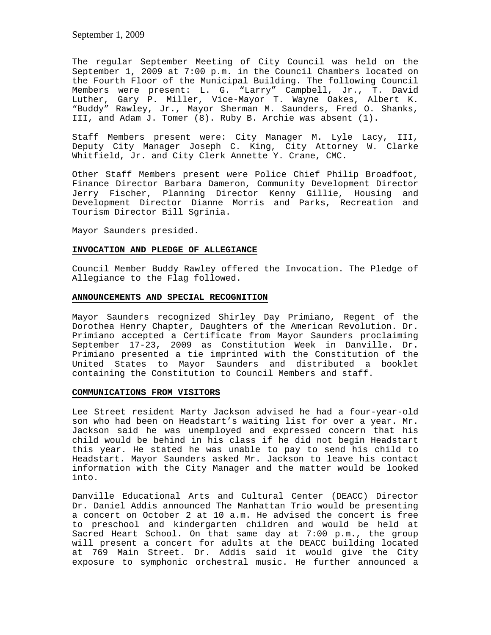The regular September Meeting of City Council was held on the September 1, 2009 at 7:00 p.m. in the Council Chambers located on the Fourth Floor of the Municipal Building. The following Council Members were present: L. G. "Larry" Campbell, Jr., T. David Luther, Gary P. Miller, Vice-Mayor T. Wayne Oakes, Albert K. "Buddy" Rawley, Jr., Mayor Sherman M. Saunders, Fred O. Shanks, III, and Adam J. Tomer (8). Ruby B. Archie was absent (1).

Staff Members present were: City Manager M. Lyle Lacy, III, Deputy City Manager Joseph C. King, City Attorney W. Clarke Whitfield, Jr. and City Clerk Annette Y. Crane, CMC.

Other Staff Members present were Police Chief Philip Broadfoot, Finance Director Barbara Dameron, Community Development Director Jerry Fischer, Planning Director Kenny Gillie, Housing and Development Director Dianne Morris and Parks, Recreation and Tourism Director Bill Sgrinia.

Mayor Saunders presided.

## **INVOCATION AND PLEDGE OF ALLEGIANCE**

Council Member Buddy Rawley offered the Invocation. The Pledge of Allegiance to the Flag followed.

# **ANNOUNCEMENTS AND SPECIAL RECOGNITION**

Mayor Saunders recognized Shirley Day Primiano, Regent of the Dorothea Henry Chapter, Daughters of the American Revolution. Dr. Primiano accepted a Certificate from Mayor Saunders proclaiming September 17-23, 2009 as Constitution Week in Danville. Dr. Primiano presented a tie imprinted with the Constitution of the United States to Mayor Saunders and distributed a booklet containing the Constitution to Council Members and staff.

# **COMMUNICATIONS FROM VISITORS**

Lee Street resident Marty Jackson advised he had a four-year-old son who had been on Headstart's waiting list for over a year. Mr. Jackson said he was unemployed and expressed concern that his child would be behind in his class if he did not begin Headstart this year. He stated he was unable to pay to send his child to Headstart. Mayor Saunders asked Mr. Jackson to leave his contact information with the City Manager and the matter would be looked into.

Danville Educational Arts and Cultural Center (DEACC) Director Dr. Daniel Addis announced The Manhattan Trio would be presenting a concert on October 2 at 10 a.m. He advised the concert is free to preschool and kindergarten children and would be held at Sacred Heart School. On that same day at 7:00 p.m., the group will present a concert for adults at the DEACC building located at 769 Main Street. Dr. Addis said it would give the City exposure to symphonic orchestral music. He further announced a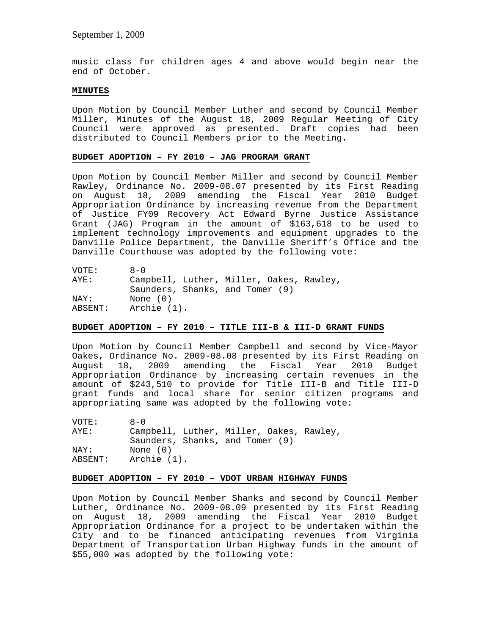music class for children ages 4 and above would begin near the end of October.

#### **MINUTES**

Upon Motion by Council Member Luther and second by Council Member Miller, Minutes of the August 18, 2009 Regular Meeting of City Council were approved as presented. Draft copies had been distributed to Council Members prior to the Meeting.

### **BUDGET ADOPTION – FY 2010 – JAG PROGRAM GRANT**

Upon Motion by Council Member Miller and second by Council Member Rawley, Ordinance No. 2009-08.07 presented by its First Reading on August 18, 2009 amending the Fiscal Year 2010 Budget Appropriation Ordinance by increasing revenue from the Department of Justice FY09 Recovery Act Edward Byrne Justice Assistance Grant (JAG) Program in the amount of \$163,618 to be used to implement technology improvements and equipment upgrades to the Danville Police Department, the Danville Sheriff's Office and the Danville Courthouse was adopted by the following vote:

| VOTE:   | $R - \Omega$                             |
|---------|------------------------------------------|
| AYE:    | Campbell, Luther, Miller, Oakes, Rawley, |
|         | Saunders, Shanks, and Tomer (9)          |
| NAY:    | None $(0)$                               |
| ABSENT: | Archie (1).                              |

### **BUDGET ADOPTION – FY 2010 – TITLE III-B & III-D GRANT FUNDS**

Upon Motion by Council Member Campbell and second by Vice-Mayor Oakes, Ordinance No. 2009-08.08 presented by its First Reading on August 18, 2009 amending the Fiscal Year 2010 Budget Appropriation Ordinance by increasing certain revenues in the amount of \$243,510 to provide for Title III-B and Title III-D grant funds and local share for senior citizen programs and appropriating same was adopted by the following vote:

VOTE: 8-0<br>AYE: Camp Campbell, Luther, Miller, Oakes, Rawley, Saunders, Shanks, and Tomer (9) NAY: None (0) ABSENT: Archie (1).

# **BUDGET ADOPTION – FY 2010 – VDOT URBAN HIGHWAY FUNDS**

Upon Motion by Council Member Shanks and second by Council Member Luther, Ordinance No. 2009-08.09 presented by its First Reading on August 18, 2009 amending the Fiscal Year 2010 Budget Appropriation Ordinance for a project to be undertaken within the City and to be financed anticipating revenues from Virginia Department of Transportation Urban Highway funds in the amount of \$55,000 was adopted by the following vote: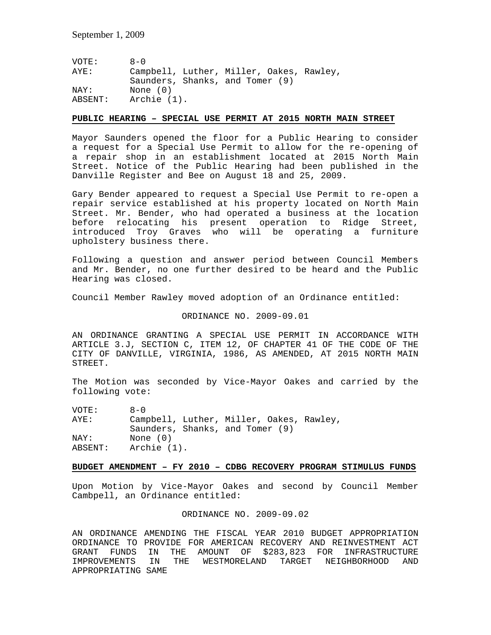| VOTE:   | $A - 0$                                  |
|---------|------------------------------------------|
| AYE:    | Campbell, Luther, Miller, Oakes, Rawley, |
|         | Saunders, Shanks, and Tomer (9)          |
| NAY:    | None (0)                                 |
| ABSENT: | Archie (1).                              |

## **PUBLIC HEARING – SPECIAL USE PERMIT AT 2015 NORTH MAIN STREET**

Mayor Saunders opened the floor for a Public Hearing to consider a request for a Special Use Permit to allow for the re-opening of a repair shop in an establishment located at 2015 North Main Street. Notice of the Public Hearing had been published in the Danville Register and Bee on August 18 and 25, 2009.

Gary Bender appeared to request a Special Use Permit to re-open a repair service established at his property located on North Main Street. Mr. Bender, who had operated a business at the location before relocating his present operation to Ridge Street, introduced Troy Graves who will be operating a furniture upholstery business there.

Following a question and answer period between Council Members and Mr. Bender, no one further desired to be heard and the Public Hearing was closed.

Council Member Rawley moved adoption of an Ordinance entitled:

#### ORDINANCE NO. 2009-09.01

AN ORDINANCE GRANTING A SPECIAL USE PERMIT IN ACCORDANCE WITH ARTICLE 3.J, SECTION C, ITEM 12, OF CHAPTER 41 OF THE CODE OF THE CITY OF DANVILLE, VIRGINIA, 1986, AS AMENDED, AT 2015 NORTH MAIN STREET.

The Motion was seconded by Vice-Mayor Oakes and carried by the following vote:

| VOTE:   | $A - 0$                                  |
|---------|------------------------------------------|
| AYE:    | Campbell, Luther, Miller, Oakes, Rawley, |
|         | Saunders, Shanks, and Tomer (9)          |
| NAY:    | None $(0)$                               |
| ABSENT: | Archie (1).                              |

### **BUDGET AMENDMENT – FY 2010 – CDBG RECOVERY PROGRAM STIMULUS FUNDS**

Upon Motion by Vice-Mayor Oakes and second by Council Member Cambpell, an Ordinance entitled:

#### ORDINANCE NO. 2009-09.02

AN ORDINANCE AMENDING THE FISCAL YEAR 2010 BUDGET APPROPRIATION ORDINANCE TO PROVIDE FOR AMERICAN RECOVERY AND REINVESTMENT ACT GRANT FUNDS IN THE AMOUNT OF \$283,823 FOR INFRASTRUCTURE IMPROVEMENTS IN THE WESTMORELAND TARGET NEIGHBORHOOD AND APPROPRIATING SAME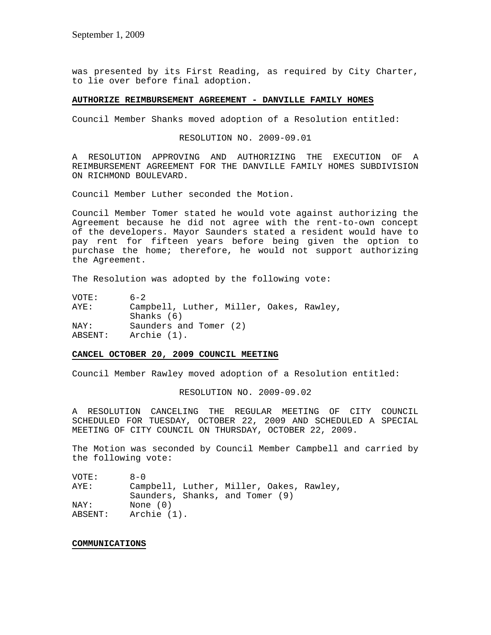was presented by its First Reading, as required by City Charter, to lie over before final adoption.

# **AUTHORIZE REIMBURSEMENT AGREEMENT - DANVILLE FAMILY HOMES**

Council Member Shanks moved adoption of a Resolution entitled:

RESOLUTION NO. 2009-09.01

A RESOLUTION APPROVING AND AUTHORIZING THE EXECUTION OF A REIMBURSEMENT AGREEMENT FOR THE DANVILLE FAMILY HOMES SUBDIVISION ON RICHMOND BOULEVARD.

Council Member Luther seconded the Motion.

Council Member Tomer stated he would vote against authorizing the Agreement because he did not agree with the rent-to-own concept of the developers. Mayor Saunders stated a resident would have to pay rent for fifteen years before being given the option to purchase the home; therefore, he would not support authorizing the Agreement.

The Resolution was adopted by the following vote:

| VOTE:           | $6 - 2$                                                  |
|-----------------|----------------------------------------------------------|
| AYE:            | Campbell, Luther, Miller, Oakes, Rawley,<br>Shanks $(6)$ |
| NAY:<br>ABSENT: | Saunders and Tomer (2)<br>Archie (1).                    |

### **CANCEL OCTOBER 20, 2009 COUNCIL MEETING**

Council Member Rawley moved adoption of a Resolution entitled:

RESOLUTION NO. 2009-09.02

A RESOLUTION CANCELING THE REGULAR MEETING OF CITY COUNCIL SCHEDULED FOR TUESDAY, OCTOBER 22, 2009 AND SCHEDULED A SPECIAL MEETING OF CITY COUNCIL ON THURSDAY, OCTOBER 22, 2009.

The Motion was seconded by Council Member Campbell and carried by the following vote:

| VOTE:   | $A - 0$                                  |
|---------|------------------------------------------|
| AYE:    | Campbell, Luther, Miller, Oakes, Rawley, |
|         | Saunders, Shanks, and Tomer (9)          |
| NAY:    | None (0)                                 |
| ABSENT: | Archie (1).                              |

#### **COMMUNICATIONS**